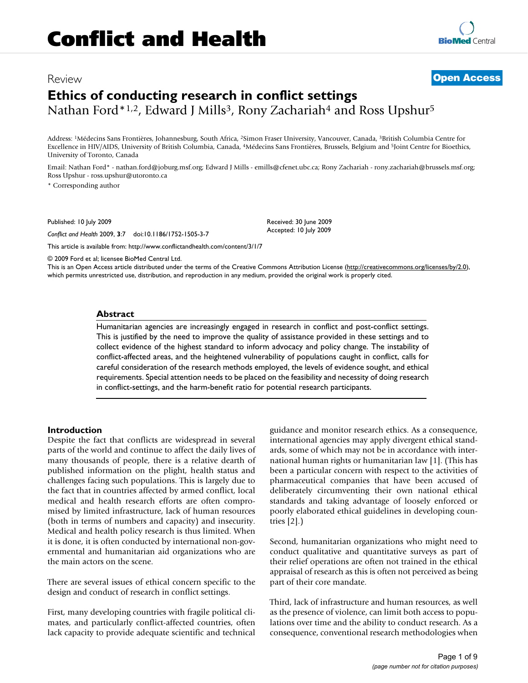# Review **[Open Access](http://www.biomedcentral.com/info/about/charter/) Ethics of conducting research in conflict settings** Nathan Ford\*<sup>1,2</sup>, Edward J Mills<sup>3</sup>, Rony Zachariah<sup>4</sup> and Ross Upshur<sup>5</sup>

Address: 1Médecins Sans Frontières, Johannesburg, South Africa, 2Simon Fraser University, Vancouver, Canada, 3British Columbia Centre for Excellence in HIV/AIDS, University of British Columbia, Canada, <sup>4</sup>Médecins Sans Frontières, Brussels, Belgium and <sup>5</sup>Joint Centre for Bioethics, University of Toronto, Canada

Email: Nathan Ford\* - nathan.ford@joburg.msf.org; Edward J Mills - emills@cfenet.ubc.ca; Rony Zachariah - rony.zachariah@brussels.msf.org; Ross Upshur - ross.upshur@utoronto.ca

> Received: 30 June 2009 Accepted: 10 July 2009

\* Corresponding author

Published: 10 July 2009

*Conflict and Health* 2009, **3**:7 doi:10.1186/1752-1505-3-7

[This article is available from: http://www.conflictandhealth.com/content/3/1/7](http://www.conflictandhealth.com/content/3/1/7)

© 2009 Ford et al; licensee BioMed Central Ltd.

This is an Open Access article distributed under the terms of the Creative Commons Attribution License [\(http://creativecommons.org/licenses/by/2.0\)](http://creativecommons.org/licenses/by/2.0), which permits unrestricted use, distribution, and reproduction in any medium, provided the original work is properly cited.

#### **Abstract**

Humanitarian agencies are increasingly engaged in research in conflict and post-conflict settings. This is justified by the need to improve the quality of assistance provided in these settings and to collect evidence of the highest standard to inform advocacy and policy change. The instability of conflict-affected areas, and the heightened vulnerability of populations caught in conflict, calls for careful consideration of the research methods employed, the levels of evidence sought, and ethical requirements. Special attention needs to be placed on the feasibility and necessity of doing research in conflict-settings, and the harm-benefit ratio for potential research participants.

#### **Introduction**

Despite the fact that conflicts are widespread in several parts of the world and continue to affect the daily lives of many thousands of people, there is a relative dearth of published information on the plight, health status and challenges facing such populations. This is largely due to the fact that in countries affected by armed conflict, local medical and health research efforts are often compromised by limited infrastructure, lack of human resources (both in terms of numbers and capacity) and insecurity. Medical and health policy research is thus limited. When it is done, it is often conducted by international non-governmental and humanitarian aid organizations who are the main actors on the scene.

There are several issues of ethical concern specific to the design and conduct of research in conflict settings.

First, many developing countries with fragile political climates, and particularly conflict-affected countries, often lack capacity to provide adequate scientific and technical guidance and monitor research ethics. As a consequence, international agencies may apply divergent ethical standards, some of which may not be in accordance with international human rights or humanitarian law [[1](#page-8-0)]. (This has been a particular concern with respect to the activities of pharmaceutical companies that have been accused of deliberately circumventing their own national ethical standards and taking advantage of loosely enforced or poorly elaborated ethical guidelines in developing countries [[2](#page-8-1)].)

Second, humanitarian organizations who might need to conduct qualitative and quantitative surveys as part of their relief operations are often not trained in the ethical appraisal of research as this is often not perceived as being part of their core mandate.

Third, lack of infrastructure and human resources, as well as the presence of violence, can limit both access to populations over time and the ability to conduct research. As a consequence, conventional research methodologies when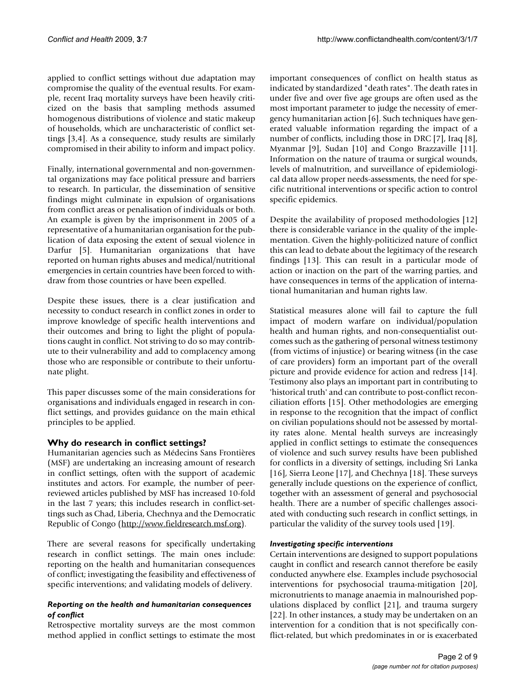applied to conflict settings without due adaptation may compromise the quality of the eventual results. For example, recent Iraq mortality surveys have been heavily criticized on the basis that sampling methods assumed homogenous distributions of violence and static makeup of households, which are uncharacteristic of conflict settings [\[3,](#page-8-2)[4\]](#page-8-3). As a consequence, study results are similarly compromised in their ability to inform and impact policy.

Finally, international governmental and non-governmental organizations may face political pressure and barriers to research. In particular, the dissemination of sensitive findings might culminate in expulsion of organisations from conflict areas or penalisation of individuals or both. An example is given by the imprisonment in 2005 of a representative of a humanitarian organisation for the publication of data exposing the extent of sexual violence in Darfur [\[5\]](#page-8-4). Humanitarian organizations that have reported on human rights abuses and medical/nutritional emergencies in certain countries have been forced to withdraw from those countries or have been expelled.

Despite these issues, there is a clear justification and necessity to conduct research in conflict zones in order to improve knowledge of specific health interventions and their outcomes and bring to light the plight of populations caught in conflict. Not striving to do so may contribute to their vulnerability and add to complacency among those who are responsible or contribute to their unfortunate plight.

This paper discusses some of the main considerations for organisations and individuals engaged in research in conflict settings, and provides guidance on the main ethical principles to be applied.

# **Why do research in conflict settings?**

Humanitarian agencies such as Médecins Sans Frontières (MSF) are undertaking an increasing amount of research in conflict settings, often with the support of academic institutes and actors. For example, the number of peerreviewed articles published by MSF has increased 10-fold in the last 7 years; this includes research in conflict-settings such as Chad, Liberia, Chechnya and the Democratic Republic of Congo ([http://www.fieldresearch.msf.org\)](http://www.fieldresearch.msf.org).

There are several reasons for specifically undertaking research in conflict settings. The main ones include: reporting on the health and humanitarian consequences of conflict; investigating the feasibility and effectiveness of specific interventions; and validating models of delivery.

#### *Reporting on the health and humanitarian consequences of conflict*

Retrospective mortality surveys are the most common method applied in conflict settings to estimate the most important consequences of conflict on health status as indicated by standardized "death rates". The death rates in under five and over five age groups are often used as the most important parameter to judge the necessity of emergency humanitarian action [[6](#page-8-5)]. Such techniques have generated valuable information regarding the impact of a number of conflicts, including those in DRC [[7](#page-8-6)], Iraq [[8](#page-8-7)], Myanmar [[9\]](#page-8-8), Sudan [[10\]](#page-8-9) and Congo Brazzaville [\[11](#page-8-10)]. Information on the nature of trauma or surgical wounds, levels of malnutrition, and surveillance of epidemiological data allow proper needs-assessments, the need for specific nutritional interventions or specific action to control specific epidemics.

Despite the availability of proposed methodologies [[12\]](#page-8-11) there is considerable variance in the quality of the implementation. Given the highly-politicized nature of conflict this can lead to debate about the legitimacy of the research findings [[13\]](#page-8-12). This can result in a particular mode of action or inaction on the part of the warring parties, and have consequences in terms of the application of international humanitarian and human rights law.

Statistical measures alone will fail to capture the full impact of modern warfare on individual/population health and human rights, and non-consequentialist outcomes such as the gathering of personal witness testimony (from victims of injustice) or bearing witness (in the case of care providers) form an important part of the overall picture and provide evidence for action and redress [\[14](#page-8-13)]. Testimony also plays an important part in contributing to 'historical truth' and can contribute to post-conflict reconciliation efforts [\[15](#page-8-14)]. Other methodologies are emerging in response to the recognition that the impact of conflict on civilian populations should not be assessed by mortality rates alone. Mental health surveys are increasingly applied in conflict settings to estimate the consequences of violence and such survey results have been published for conflicts in a diversity of settings, including Sri Lanka [[16](#page-8-15)], Sierra Leone [\[17\]](#page-8-16), and Chechnya [\[18](#page-8-17)]. These surveys generally include questions on the experience of conflict, together with an assessment of general and psychosocial health. There are a number of specific challenges associated with conducting such research in conflict settings, in particular the validity of the survey tools used [[19\]](#page-8-18).

## *Investigating specific interventions*

Certain interventions are designed to support populations caught in conflict and research cannot therefore be easily conducted anywhere else. Examples include psychosocial interventions for psychosocial trauma-mitigation [\[20](#page-8-19)], micronutrients to manage anaemia in malnourished populations displaced by conflict [[21\]](#page-8-20), and trauma surgery [[22](#page-8-21)]. In other instances, a study may be undertaken on an intervention for a condition that is not specifically conflict-related, but which predominates in or is exacerbated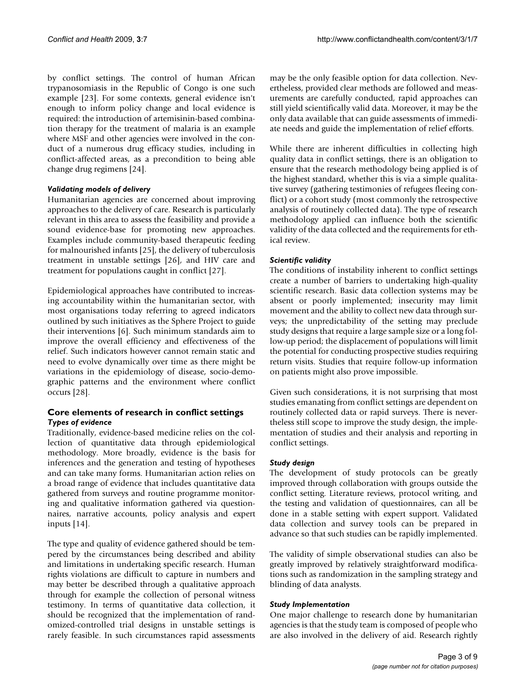by conflict settings. The control of human African trypanosomiasis in the Republic of Congo is one such example [[23\]](#page-8-22). For some contexts, general evidence isn't enough to inform policy change and local evidence is required: the introduction of artemisinin-based combination therapy for the treatment of malaria is an example where MSF and other agencies were involved in the conduct of a numerous drug efficacy studies, including in conflict-affected areas, as a precondition to being able change drug regimens [\[24](#page-8-23)].

# *Validating models of delivery*

Humanitarian agencies are concerned about improving approaches to the delivery of care. Research is particularly relevant in this area to assess the feasibility and provide a sound evidence-base for promoting new approaches. Examples include community-based therapeutic feeding for malnourished infants [\[25\]](#page-8-24), the delivery of tuberculosis treatment in unstable settings [\[26](#page-8-25)], and HIV care and treatment for populations caught in conflict [[27\]](#page-8-26).

Epidemiological approaches have contributed to increasing accountability within the humanitarian sector, with most organisations today referring to agreed indicators outlined by such initiatives as the Sphere Project to guide their interventions [\[6\]](#page-8-5). Such minimum standards aim to improve the overall efficiency and effectiveness of the relief. Such indicators however cannot remain static and need to evolve dynamically over time as there might be variations in the epidemiology of disease, socio-demographic patterns and the environment where conflict occurs [[28\]](#page-8-27).

# **Core elements of research in conflict settings** *Types of evidence*

Traditionally, evidence-based medicine relies on the collection of quantitative data through epidemiological methodology. More broadly, evidence is the basis for inferences and the generation and testing of hypotheses and can take many forms. Humanitarian action relies on a broad range of evidence that includes quantitative data gathered from surveys and routine programme monitoring and qualitative information gathered via questionnaires, narrative accounts, policy analysis and expert inputs [[14\]](#page-8-13).

The type and quality of evidence gathered should be tempered by the circumstances being described and ability and limitations in undertaking specific research. Human rights violations are difficult to capture in numbers and may better be described through a qualitative approach through for example the collection of personal witness testimony. In terms of quantitative data collection, it should be recognized that the implementation of randomized-controlled trial designs in unstable settings is rarely feasible. In such circumstances rapid assessments may be the only feasible option for data collection. Nevertheless, provided clear methods are followed and measurements are carefully conducted, rapid approaches can still yield scientifically valid data. Moreover, it may be the only data available that can guide assessments of immediate needs and guide the implementation of relief efforts.

While there are inherent difficulties in collecting high quality data in conflict settings, there is an obligation to ensure that the research methodology being applied is of the highest standard, whether this is via a simple qualitative survey (gathering testimonies of refugees fleeing conflict) or a cohort study (most commonly the retrospective analysis of routinely collected data). The type of research methodology applied can influence both the scientific validity of the data collected and the requirements for ethical review.

# *Scientific validity*

The conditions of instability inherent to conflict settings create a number of barriers to undertaking high-quality scientific research. Basic data collection systems may be absent or poorly implemented; insecurity may limit movement and the ability to collect new data through surveys; the unpredictability of the setting may preclude study designs that require a large sample size or a long follow-up period; the displacement of populations will limit the potential for conducting prospective studies requiring return visits. Studies that require follow-up information on patients might also prove impossible.

Given such considerations, it is not surprising that most studies emanating from conflict settings are dependent on routinely collected data or rapid surveys. There is nevertheless still scope to improve the study design, the implementation of studies and their analysis and reporting in conflict settings.

# *Study design*

The development of study protocols can be greatly improved through collaboration with groups outside the conflict setting. Literature reviews, protocol writing, and the testing and validation of questionnaires, can all be done in a stable setting with expert support. Validated data collection and survey tools can be prepared in advance so that such studies can be rapidly implemented.

The validity of simple observational studies can also be greatly improved by relatively straightforward modifications such as randomization in the sampling strategy and blinding of data analysts.

## *Study Implementation*

One major challenge to research done by humanitarian agencies is that the study team is composed of people who are also involved in the delivery of aid. Research rightly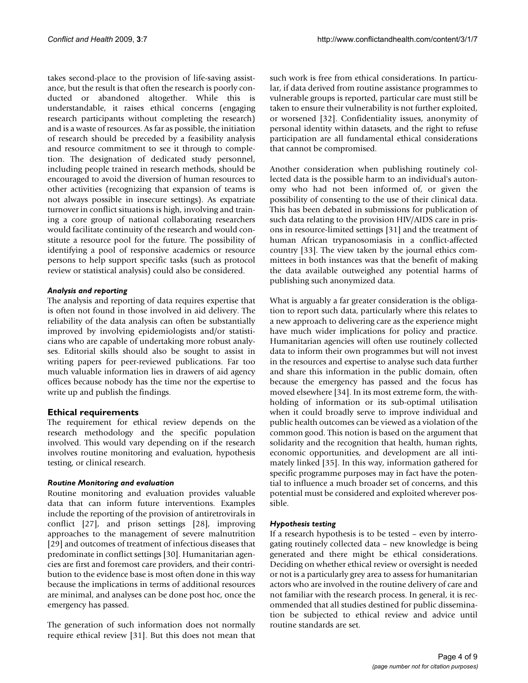takes second-place to the provision of life-saving assistance, but the result is that often the research is poorly conducted or abandoned altogether. While this is understandable, it raises ethical concerns (engaging research participants without completing the research) and is a waste of resources. As far as possible, the initiation of research should be preceded by a feasibility analysis and resource commitment to see it through to completion. The designation of dedicated study personnel, including people trained in research methods, should be encouraged to avoid the diversion of human resources to other activities (recognizing that expansion of teams is not always possible in insecure settings). As expatriate turnover in conflict situations is high, involving and training a core group of national collaborating researchers would facilitate continuity of the research and would constitute a resource pool for the future. The possibility of identifying a pool of responsive academics or resource persons to help support specific tasks (such as protocol review or statistical analysis) could also be considered.

# *Analysis and reporting*

The analysis and reporting of data requires expertise that is often not found in those involved in aid delivery. The reliability of the data analysis can often be substantially improved by involving epidemiologists and/or statisticians who are capable of undertaking more robust analyses. Editorial skills should also be sought to assist in writing papers for peer-reviewed publications. Far too much valuable information lies in drawers of aid agency offices because nobody has the time nor the expertise to write up and publish the findings.

# **Ethical requirements**

The requirement for ethical review depends on the research methodology and the specific population involved. This would vary depending on if the research involves routine monitoring and evaluation, hypothesis testing, or clinical research.

# *Routine Monitoring and evaluation*

Routine monitoring and evaluation provides valuable data that can inform future interventions. Examples include the reporting of the provision of antiretrovirals in conflict [\[27](#page-8-26)], and prison settings [[28\]](#page-8-27), improving approaches to the management of severe malnutrition [[29](#page-8-28)] and outcomes of treatment of infectious diseases that predominate in conflict settings [[30\]](#page-8-29). Humanitarian agencies are first and foremost care providers, and their contribution to the evidence base is most often done in this way because the implications in terms of additional resources are minimal, and analyses can be done post hoc, once the emergency has passed.

The generation of such information does not normally require ethical review [\[31\]](#page-8-30). But this does not mean that

such work is free from ethical considerations. In particular, if data derived from routine assistance programmes to vulnerable groups is reported, particular care must still be taken to ensure their vulnerability is not further exploited, or worsened [[32](#page-8-31)]. Confidentiality issues, anonymity of personal identity within datasets, and the right to refuse participation are all fundamental ethical considerations that cannot be compromised.

Another consideration when publishing routinely collected data is the possible harm to an individual's autonomy who had not been informed of, or given the possibility of consenting to the use of their clinical data. This has been debated in submissions for publication of such data relating to the provision HIV/AIDS care in prisons in resource-limited settings [[31\]](#page-8-30) and the treatment of human African trypanosomiasis in a conflict-affected country [\[33](#page-8-32)]. The view taken by the journal ethics committees in both instances was that the benefit of making the data available outweighed any potential harms of publishing such anonymized data.

What is arguably a far greater consideration is the obligation to report such data, particularly where this relates to a new approach to delivering care as the experience might have much wider implications for policy and practice. Humanitarian agencies will often use routinely collected data to inform their own programmes but will not invest in the resources and expertise to analyse such data further and share this information in the public domain, often because the emergency has passed and the focus has moved elsewhere [[34\]](#page-8-33). In its most extreme form, the withholding of information or its sub-optimal utilisation when it could broadly serve to improve individual and public health outcomes can be viewed as a violation of the common good. This notion is based on the argument that solidarity and the recognition that health, human rights, economic opportunities, and development are all intimately linked [\[35](#page-8-34)]. In this way, information gathered for specific programme purposes may in fact have the potential to influence a much broader set of concerns, and this potential must be considered and exploited wherever possible.

## *Hypothesis testing*

If a research hypothesis is to be tested – even by interrogating routinely collected data – new knowledge is being generated and there might be ethical considerations. Deciding on whether ethical review or oversight is needed or not is a particularly grey area to assess for humanitarian actors who are involved in the routine delivery of care and not familiar with the research process. In general, it is recommended that all studies destined for public dissemination be subjected to ethical review and advice until routine standards are set.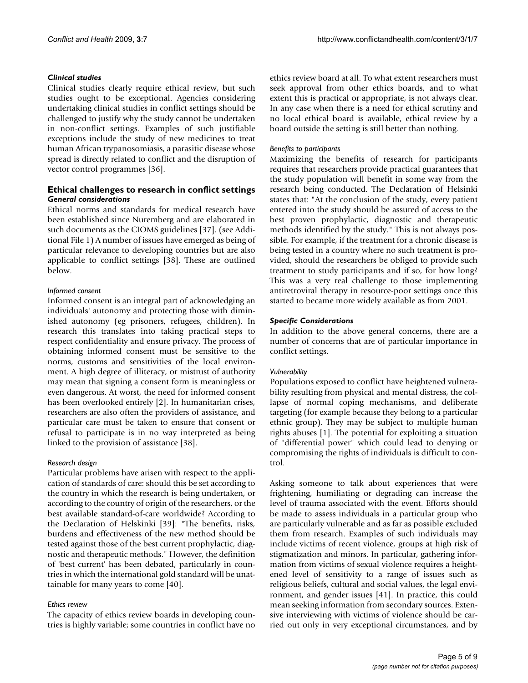#### *Clinical studies*

Clinical studies clearly require ethical review, but such studies ought to be exceptional. Agencies considering undertaking clinical studies in conflict settings should be challenged to justify why the study cannot be undertaken in non-conflict settings. Examples of such justifiable exceptions include the study of new medicines to treat human African trypanosomiasis, a parasitic disease whose spread is directly related to conflict and the disruption of vector control programmes [\[36\]](#page-8-35).

## **Ethical challenges to research in conflict settings** *General considerations*

Ethical norms and standards for medical research have been established since Nuremberg and are elaborated in such documents as the CIOMS guidelines [[37](#page-8-36)]. (see Additional File [1\)](#page-7-0) A number of issues have emerged as being of particular relevance to developing countries but are also applicable to conflict settings [[38\]](#page-8-37). These are outlined below.

#### *Informed consent*

Informed consent is an integral part of acknowledging an individuals' autonomy and protecting those with diminished autonomy (eg prisoners, refugees, children). In research this translates into taking practical steps to respect confidentiality and ensure privacy. The process of obtaining informed consent must be sensitive to the norms, customs and sensitivities of the local environment. A high degree of illiteracy, or mistrust of authority may mean that signing a consent form is meaningless or even dangerous. At worst, the need for informed consent has been overlooked entirely [\[2](#page-8-1)]. In humanitarian crises, researchers are also often the providers of assistance, and particular care must be taken to ensure that consent or refusal to participate is in no way interpreted as being linked to the provision of assistance [\[38](#page-8-37)].

## *Research design*

Particular problems have arisen with respect to the application of standards of care: should this be set according to the country in which the research is being undertaken, or according to the country of origin of the researchers, or the best available standard-of-care worldwide? According to the Declaration of Helskinki [[39](#page-8-38)]: "The benefits, risks, burdens and effectiveness of the new method should be tested against those of the best current prophylactic, diagnostic and therapeutic methods." However, the definition of 'best current' has been debated, particularly in countries in which the international gold standard will be unattainable for many years to come [\[40](#page-8-39)].

#### *Ethics review*

The capacity of ethics review boards in developing countries is highly variable; some countries in conflict have no

ethics review board at all. To what extent researchers must seek approval from other ethics boards, and to what extent this is practical or appropriate, is not always clear. In any case when there is a need for ethical scrutiny and no local ethical board is available, ethical review by a board outside the setting is still better than nothing.

#### *Benefits to participants*

Maximizing the benefits of research for participants requires that researchers provide practical guarantees that the study population will benefit in some way from the research being conducted. The Declaration of Helsinki states that: "At the conclusion of the study, every patient entered into the study should be assured of access to the best proven prophylactic, diagnostic and therapeutic methods identified by the study." This is not always possible. For example, if the treatment for a chronic disease is being tested in a country where no such treatment is provided, should the researchers be obliged to provide such treatment to study participants and if so, for how long? This was a very real challenge to those implementing antiretroviral therapy in resource-poor settings once this started to became more widely available as from 2001.

#### *Specific Considerations*

In addition to the above general concerns, there are a number of concerns that are of particular importance in conflict settings.

## *Vulnerability*

Populations exposed to conflict have heightened vulnerability resulting from physical and mental distress, the collapse of normal coping mechanisms, and deliberate targeting (for example because they belong to a particular ethnic group). They may be subject to multiple human rights abuses [\[1\]](#page-8-0). The potential for exploiting a situation of "differential power" which could lead to denying or compromising the rights of individuals is difficult to control.

Asking someone to talk about experiences that were frightening, humiliating or degrading can increase the level of trauma associated with the event. Efforts should be made to assess individuals in a particular group who are particularly vulnerable and as far as possible excluded them from research. Examples of such individuals may include victims of recent violence, groups at high risk of stigmatization and minors. In particular, gathering information from victims of sexual violence requires a heightened level of sensitivity to a range of issues such as religious beliefs, cultural and social values, the legal environment, and gender issues [\[41](#page-8-40)]. In practice, this could mean seeking information from secondary sources. Extensive interviewing with victims of violence should be carried out only in very exceptional circumstances, and by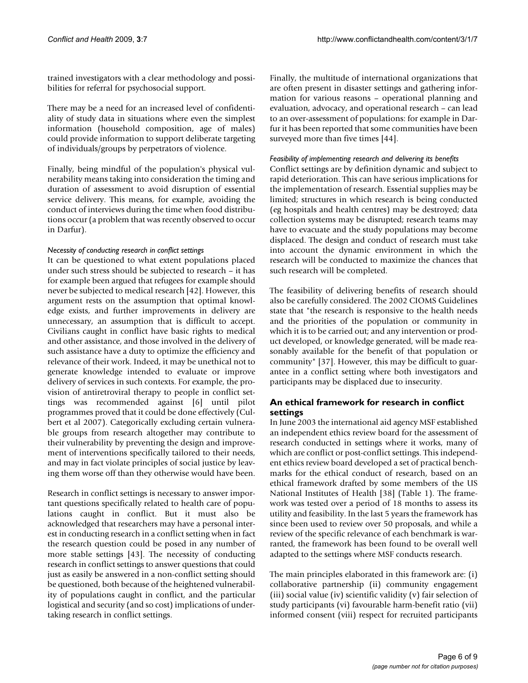trained investigators with a clear methodology and possibilities for referral for psychosocial support.

There may be a need for an increased level of confidentiality of study data in situations where even the simplest information (household composition, age of males) could provide information to support deliberate targeting of individuals/groups by perpetrators of violence.

Finally, being mindful of the population's physical vulnerability means taking into consideration the timing and duration of assessment to avoid disruption of essential service delivery. This means, for example, avoiding the conduct of interviews during the time when food distributions occur (a problem that was recently observed to occur in Darfur).

## *Necessity of conducting research in conflict settings*

It can be questioned to what extent populations placed under such stress should be subjected to research – it has for example been argued that refugees for example should never be subjected to medical research [[42](#page-8-41)]. However, this argument rests on the assumption that optimal knowledge exists, and further improvements in delivery are unnecessary, an assumption that is difficult to accept. Civilians caught in conflict have basic rights to medical and other assistance, and those involved in the delivery of such assistance have a duty to optimize the efficiency and relevance of their work. Indeed, it may be unethical not to generate knowledge intended to evaluate or improve delivery of services in such contexts. For example, the provision of antiretroviral therapy to people in conflict settings was recommended against [\[6\]](#page-8-5) until pilot programmes proved that it could be done effectively (Culbert et al 2007). Categorically excluding certain vulnerable groups from research altogether may contribute to their vulnerability by preventing the design and improvement of interventions specifically tailored to their needs, and may in fact violate principles of social justice by leaving them worse off than they otherwise would have been.

Research in conflict settings is necessary to answer important questions specifically related to health care of populations caught in conflict. But it must also be acknowledged that researchers may have a personal interest in conducting research in a conflict setting when in fact the research question could be posed in any number of more stable settings [\[43](#page-8-42)]. The necessity of conducting research in conflict settings to answer questions that could just as easily be answered in a non-conflict setting should be questioned, both because of the heightened vulnerability of populations caught in conflict, and the particular logistical and security (and so cost) implications of undertaking research in conflict settings.

Finally, the multitude of international organizations that are often present in disaster settings and gathering information for various reasons – operational planning and evaluation, advocacy, and operational research – can lead to an over-assessment of populations: for example in Darfur it has been reported that some communities have been surveyed more than five times [\[44](#page-8-43)].

#### *Feasibility of implementing research and delivering its benefits*

Conflict settings are by definition dynamic and subject to rapid deterioration. This can have serious implications for the implementation of research. Essential supplies may be limited; structures in which research is being conducted (eg hospitals and health centres) may be destroyed; data collection systems may be disrupted; research teams may have to evacuate and the study populations may become displaced. The design and conduct of research must take into account the dynamic environment in which the research will be conducted to maximize the chances that such research will be completed.

The feasibility of delivering benefits of research should also be carefully considered. The 2002 CIOMS Guidelines state that "the research is responsive to the health needs and the priorities of the population or community in which it is to be carried out; and any intervention or product developed, or knowledge generated, will be made reasonably available for the benefit of that population or community" [\[37](#page-8-36)]. However, this may be difficult to guarantee in a conflict setting where both investigators and participants may be displaced due to insecurity.

# **An ethical framework for research in conflict settings**

In June 2003 the international aid agency MSF established an independent ethics review board for the assessment of research conducted in settings where it works, many of which are conflict or post-conflict settings. This independent ethics review board developed a set of practical benchmarks for the ethical conduct of research, based on an ethical framework drafted by some members of the US National Institutes of Health [[38\]](#page-8-37) (Table [1\)](#page-6-0). The framework was tested over a period of 18 months to assess its utility and feasibility. In the last 5 years the framework has since been used to review over 50 proposals, and while a review of the specific relevance of each benchmark is warranted, the framework has been found to be overall well adapted to the settings where MSF conducts research.

The main principles elaborated in this framework are: (i) collaborative partnership (ii) community engagement (iii) social value (iv) scientific validity (v) fair selection of study participants (vi) favourable harm-benefit ratio (vii) informed consent (viii) respect for recruited participants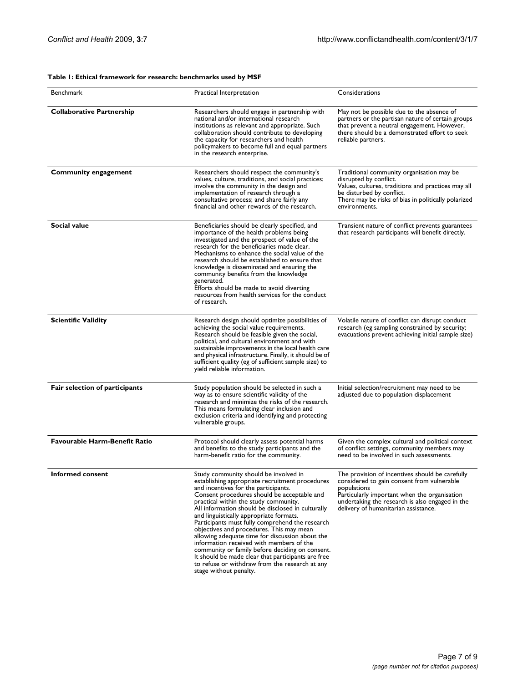# <span id="page-6-0"></span>**Table 1: Ethical framework for research: benchmarks used by MSF**

| Benchmark                             | Practical Interpretation                                                                                                                                                                                                                                                                                                                                                                                                                                                                                                                                                                                                                                                                                    | Considerations                                                                                                                                                                                                                                          |
|---------------------------------------|-------------------------------------------------------------------------------------------------------------------------------------------------------------------------------------------------------------------------------------------------------------------------------------------------------------------------------------------------------------------------------------------------------------------------------------------------------------------------------------------------------------------------------------------------------------------------------------------------------------------------------------------------------------------------------------------------------------|---------------------------------------------------------------------------------------------------------------------------------------------------------------------------------------------------------------------------------------------------------|
| <b>Collaborative Partnership</b>      | Researchers should engage in partnership with<br>national and/or international research<br>institutions as relevant and appropriate. Such<br>collaboration should contribute to developing<br>the capacity for researchers and health<br>policymakers to become full and equal partners<br>in the research enterprise.                                                                                                                                                                                                                                                                                                                                                                                      | May not be possible due to the absence of<br>partners or the partisan nature of certain groups<br>that prevent a neutral engagement. However,<br>there should be a demonstrated effort to seek<br>reliable partners.                                    |
| Community engagement                  | Researchers should respect the community's<br>values, culture, traditions, and social practices;<br>involve the community in the design and<br>implementation of research through a<br>consultative process; and share fairly any<br>financial and other rewards of the research.                                                                                                                                                                                                                                                                                                                                                                                                                           | Traditional community organisation may be<br>disrupted by conflict.<br>Values, cultures, traditions and practices may all<br>be disturbed by conflict.<br>There may be risks of bias in politically polarized<br>environments.                          |
| Social value                          | Beneficiaries should be clearly specified, and<br>importance of the health problems being<br>investigated and the prospect of value of the<br>research for the beneficiaries made clear.<br>Mechanisms to enhance the social value of the<br>research should be established to ensure that<br>knowledge is disseminated and ensuring the<br>community benefits from the knowledge<br>generated.<br>Efforts should be made to avoid diverting<br>resources from health services for the conduct<br>of research.                                                                                                                                                                                              | Transient nature of conflict prevents guarantees<br>that research participants will benefit directly.                                                                                                                                                   |
| <b>Scientific Validity</b>            | Research design should optimize possibilities of<br>achieving the social value requirements.<br>Research should be feasible given the social,<br>political, and cultural environment and with<br>sustainable improvements in the local health care<br>and physical infrastructure. Finally, it should be of<br>sufficient quality (eg of sufficient sample size) to<br>yield reliable information.                                                                                                                                                                                                                                                                                                          | Volatile nature of conflict can disrupt conduct<br>research (eg sampling constrained by security;<br>evacuations prevent achieving initial sample size)                                                                                                 |
| <b>Fair selection of participants</b> | Study population should be selected in such a<br>way as to ensure scientific validity of the<br>research and minimize the risks of the research.<br>This means formulating clear inclusion and<br>exclusion criteria and identifying and protecting<br>vulnerable groups.                                                                                                                                                                                                                                                                                                                                                                                                                                   | Initial selection/recruitment may need to be<br>adjusted due to population displacement                                                                                                                                                                 |
| <b>Favourable Harm-Benefit Ratio</b>  | Protocol should clearly assess potential harms<br>and benefits to the study participants and the<br>harm-benefit ratio for the community.                                                                                                                                                                                                                                                                                                                                                                                                                                                                                                                                                                   | Given the complex cultural and political context<br>of conflict settings, community members may<br>need to be involved in such assessments.                                                                                                             |
| Informed consent                      | Study community should be involved in<br>establishing appropriate recruitment procedures<br>and incentives for the participants.<br>Consent procedures should be acceptable and<br>practical within the study community.<br>All information should be disclosed in culturally<br>and linguistically appropriate formats.<br>Participants must fully comprehend the research<br>objectives and procedures. This may mean<br>allowing adequate time for discussion about the<br>information received with members of the<br>community or family before deciding on consent.<br>It should be made clear that participants are free<br>to refuse or withdraw from the research at any<br>stage without penalty. | The provision of incentives should be carefully<br>considered to gain consent from vulnerable<br>populations<br>Particularly important when the organisation<br>undertaking the research is also engaged in the<br>delivery of humanitarian assistance. |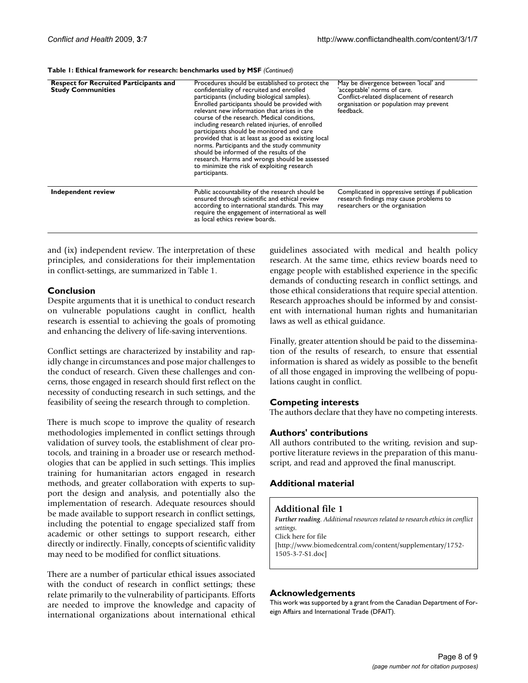**Table 1: Ethical framework for research: benchmarks used by MSF** *(Continued)*

| <b>Respect for Recruited Participants and</b><br><b>Study Communities</b> | Procedures should be established to protect the<br>confidentiality of recruited and enrolled<br>participants (including biological samples).<br>Enrolled participants should be provided with<br>relevant new information that arises in the<br>course of the research. Medical conditions,<br>including research related injuries, of enrolled<br>participants should be monitored and care<br>provided that is at least as good as existing local<br>norms. Participants and the study community<br>should be informed of the results of the<br>research. Harms and wrongs should be assessed<br>to minimize the risk of exploiting research<br>participants. | May be divergence between 'local' and<br>'acceptable' norms of care.<br>Conflict-related displacement of research<br>organisation or population may prevent<br>feedback. |
|---------------------------------------------------------------------------|-----------------------------------------------------------------------------------------------------------------------------------------------------------------------------------------------------------------------------------------------------------------------------------------------------------------------------------------------------------------------------------------------------------------------------------------------------------------------------------------------------------------------------------------------------------------------------------------------------------------------------------------------------------------|--------------------------------------------------------------------------------------------------------------------------------------------------------------------------|
| Independent review                                                        | Public accountability of the research should be<br>ensured through scientific and ethical review<br>according to international standards. This may<br>require the engagement of international as well<br>as local ethics review boards.                                                                                                                                                                                                                                                                                                                                                                                                                         | Complicated in oppressive settings if publication<br>research findings may cause problems to<br>researchers or the organisation                                          |

and (ix) independent review. The interpretation of these principles, and considerations for their implementation in conflict-settings, are summarized in Table [1](#page-6-0).

#### **Conclusion**

Despite arguments that it is unethical to conduct research on vulnerable populations caught in conflict, health research is essential to achieving the goals of promoting and enhancing the delivery of life-saving interventions.

Conflict settings are characterized by instability and rapidly change in circumstances and pose major challenges to the conduct of research. Given these challenges and concerns, those engaged in research should first reflect on the necessity of conducting research in such settings, and the feasibility of seeing the research through to completion.

There is much scope to improve the quality of research methodologies implemented in conflict settings through validation of survey tools, the establishment of clear protocols, and training in a broader use or research methodologies that can be applied in such settings. This implies training for humanitarian actors engaged in research methods, and greater collaboration with experts to support the design and analysis, and potentially also the implementation of research. Adequate resources should be made available to support research in conflict settings, including the potential to engage specialized staff from academic or other settings to support research, either directly or indirectly. Finally, concepts of scientific validity may need to be modified for conflict situations.

There are a number of particular ethical issues associated with the conduct of research in conflict settings; these relate primarily to the vulnerability of participants. Efforts are needed to improve the knowledge and capacity of international organizations about international ethical guidelines associated with medical and health policy research. At the same time, ethics review boards need to engage people with established experience in the specific demands of conducting research in conflict settings, and those ethical considerations that require special attention. Research approaches should be informed by and consistent with international human rights and humanitarian laws as well as ethical guidance.

Finally, greater attention should be paid to the dissemination of the results of research, to ensure that essential information is shared as widely as possible to the benefit of all those engaged in improving the wellbeing of populations caught in conflict.

## **Competing interests**

The authors declare that they have no competing interests.

## **Authors' contributions**

All authors contributed to the writing, revision and supportive literature reviews in the preparation of this manuscript, and read and approved the final manuscript.

## **Additional material**

## <span id="page-7-0"></span>**Additional file 1** *Further reading. Additional resources related to research ethics in conflict settings.* Click here for file

[\[http://www.biomedcentral.com/content/supplementary/1752-](http://www.biomedcentral.com/content/supplementary/1752-1505-3-7-S1.doc) 1505-3-7-S1.doc]

#### **Acknowledgements**

This work was supported by a grant from the Canadian Department of Foreign Affairs and International Trade (DFAIT).